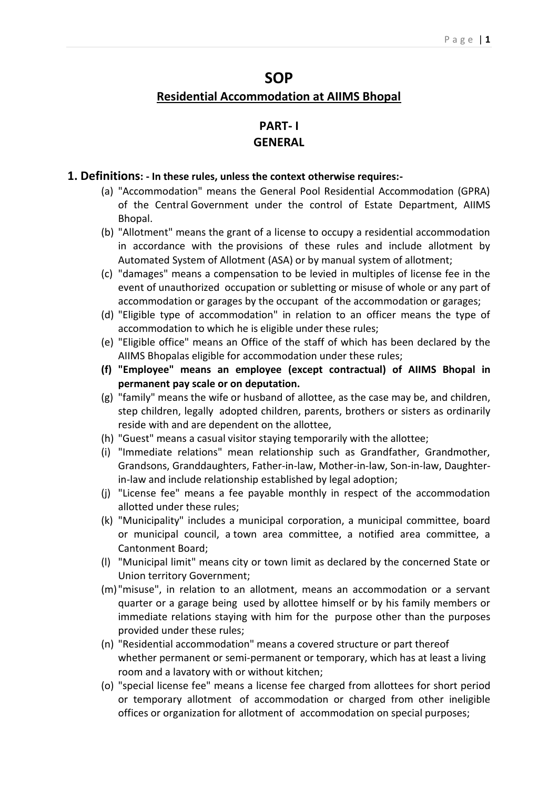# **SOP Residential Accommodation at AIIMS Bhopal**

## **PART- I GENERAL**

#### **1. Definitions: - In these rules, unless the context otherwise requires:-**

- (a) "Accommodation" means the General Pool Residential Accommodation (GPRA) of the Central Government under the control of Estate Department, AIIMS Bhopal.
- (b) "Allotment" means the grant of a license to occupy a residential accommodation in accordance with the provisions of these rules and include allotment by Automated System of Allotment (ASA) or by manual system of allotment;
- (c) "damages" means a compensation to be levied in multiples of license fee in the event of unauthorized occupation or subletting or misuse of whole or any part of accommodation or garages by the occupant of the accommodation or garages;
- (d) "Eligible type of accommodation" in relation to an officer means the type of accommodation to which he is eligible under these rules;
- (e) "Eligible office" means an Office of the staff of which has been declared by the AIIMS Bhopalas eligible for accommodation under these rules;
- **(f) "Employee" means an employee (except contractual) of AIIMS Bhopal in permanent pay scale or on deputation.**
- (g) "family" means the wife or husband of allottee, as the case may be, and children, step children, legally adopted children, parents, brothers or sisters as ordinarily reside with and are dependent on the allottee,
- (h) "Guest" means a casual visitor staying temporarily with the allottee;
- (i) "Immediate relations" mean relationship such as Grandfather, Grandmother, Grandsons, Granddaughters, Father-in-law, Mother-in-law, Son-in-law, Daughterin-law and include relationship established by legal adoption;
- (j) "License fee" means a fee payable monthly in respect of the accommodation allotted under these rules;
- (k) "Municipality" includes a municipal corporation, a municipal committee, board or municipal council, a town area committee, a notified area committee, a Cantonment Board;
- (l) "Municipal limit" means city or town limit as declared by the concerned State or Union territory Government;
- (m)"misuse", in relation to an allotment, means an accommodation or a servant quarter or a garage being used by allottee himself or by his family members or immediate relations staying with him for the purpose other than the purposes provided under these rules;
- (n) "Residential accommodation" means a covered structure or part thereof whether permanent or semi-permanent or temporary, which has at least a living room and a lavatory with or without kitchen;
- (o) "special license fee" means a license fee charged from allottees for short period or temporary allotment of accommodation or charged from other ineligible offices or organization for allotment of accommodation on special purposes;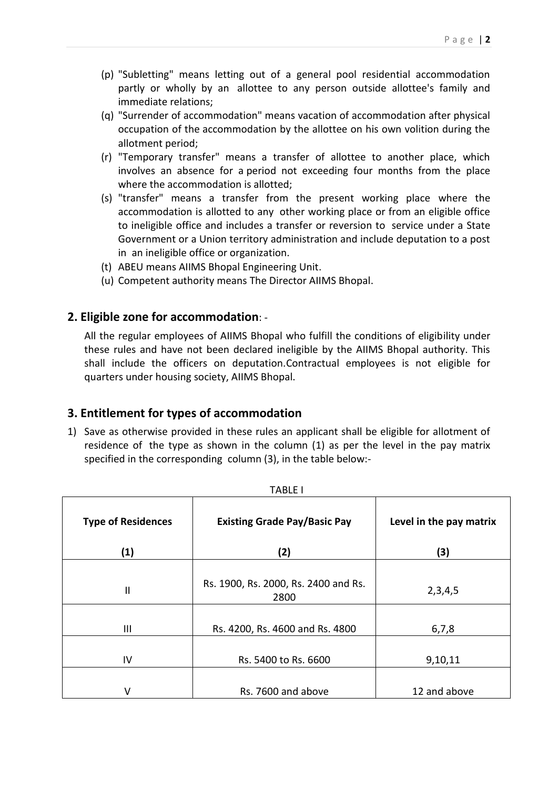- (p) "Subletting" means letting out of a general pool residential accommodation partly or wholly by an allottee to any person outside allottee's family and immediate relations;
- (q) "Surrender of accommodation" means vacation of accommodation after physical occupation of the accommodation by the allottee on his own volition during the allotment period;
- (r) "Temporary transfer" means a transfer of allottee to another place, which involves an absence for a period not exceeding four months from the place where the accommodation is allotted;
- (s) "transfer" means a transfer from the present working place where the accommodation is allotted to any other working place or from an eligible office to ineligible office and includes a transfer or reversion to service under a State Government or a Union territory administration and include deputation to a post in an ineligible office or organization.
- (t) ABEU means AIIMS Bhopal Engineering Unit.
- (u) Competent authority means The Director AIIMS Bhopal.

### **2. Eligible zone for accommodation**: -

All the regular employees of AIIMS Bhopal who fulfill the conditions of eligibility under these rules and have not been declared ineligible by the AIIMS Bhopal authority. This shall include the officers on deputation.Contractual employees is not eligible for quarters under housing society, AIIMS Bhopal.

## **3. Entitlement for types of accommodation**

1) Save as otherwise provided in these rules an applicant shall be eligible for allotment of residence of the type as shown in the column (1) as per the level in the pay matrix specified in the corresponding column (3), in the table below:-

| <b>Type of Residences</b><br>(1) | <b>Existing Grade Pay/Basic Pay</b><br>(2)   | Level in the pay matrix<br>(3) |  |
|----------------------------------|----------------------------------------------|--------------------------------|--|
|                                  |                                              |                                |  |
| $\mathbf{I}$                     | Rs. 1900, Rs. 2000, Rs. 2400 and Rs.<br>2800 | 2,3,4,5                        |  |
|                                  |                                              |                                |  |
| Ш                                | Rs. 4200, Rs. 4600 and Rs. 4800              | 6,7,8                          |  |
|                                  |                                              |                                |  |
| IV                               | Rs. 5400 to Rs. 6600                         | 9,10,11                        |  |
|                                  |                                              |                                |  |
|                                  | Rs. 7600 and above                           | 12 and above                   |  |

TABLE I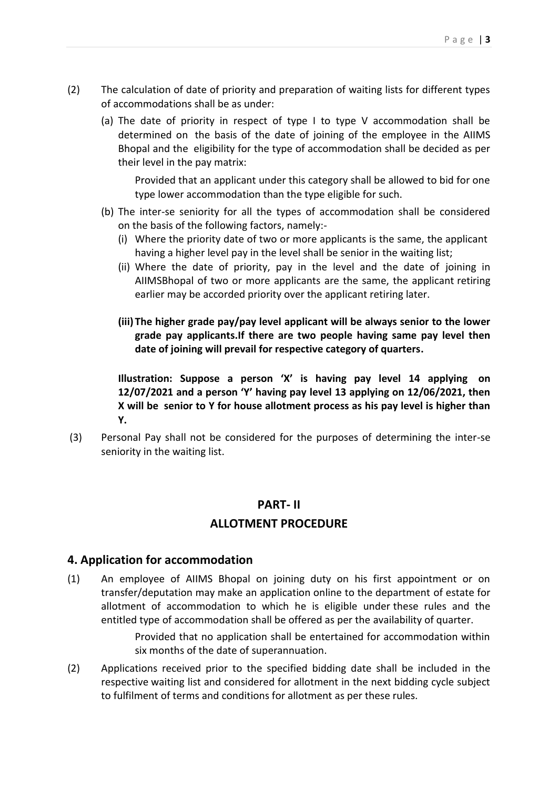- (2) The calculation of date of priority and preparation of waiting lists for different types of accommodations shall be as under:
	- (a) The date of priority in respect of type I to type V accommodation shall be determined on the basis of the date of joining of the employee in the AIIMS Bhopal and the eligibility for the type of accommodation shall be decided as per their level in the pay matrix:

Provided that an applicant under this category shall be allowed to bid for one type lower accommodation than the type eligible for such.

- (b) The inter-se seniority for all the types of accommodation shall be considered on the basis of the following factors, namely:-
	- (i) Where the priority date of two or more applicants is the same, the applicant having a higher level pay in the level shall be senior in the waiting list;
	- (ii) Where the date of priority, pay in the level and the date of joining in AIIMSBhopal of two or more applicants are the same, the applicant retiring earlier may be accorded priority over the applicant retiring later.
	- **(iii) The higher grade pay/pay level applicant will be always senior to the lower grade pay applicants.If there are two people having same pay level then date of joining will prevail for respective category of quarters.**

**Illustration: Suppose a person 'X' is having pay level 14 applying on 12/07/2021 and a person 'Y' having pay level 13 applying on 12/06/2021, then X will be senior to Y for house allotment process as his pay level is higher than Y.** 

(3) Personal Pay shall not be considered for the purposes of determining the inter-se seniority in the waiting list.

## **PART- II ALLOTMENT PROCEDURE**

#### **4. Application for accommodation**

(1) An employee of AIIMS Bhopal on joining duty on his first appointment or on transfer/deputation may make an application online to the department of estate for allotment of accommodation to which he is eligible under these rules and the entitled type of accommodation shall be offered as per the availability of quarter.

> Provided that no application shall be entertained for accommodation within six months of the date of superannuation.

(2) Applications received prior to the specified bidding date shall be included in the respective waiting list and considered for allotment in the next bidding cycle subject to fulfilment of terms and conditions for allotment as per these rules.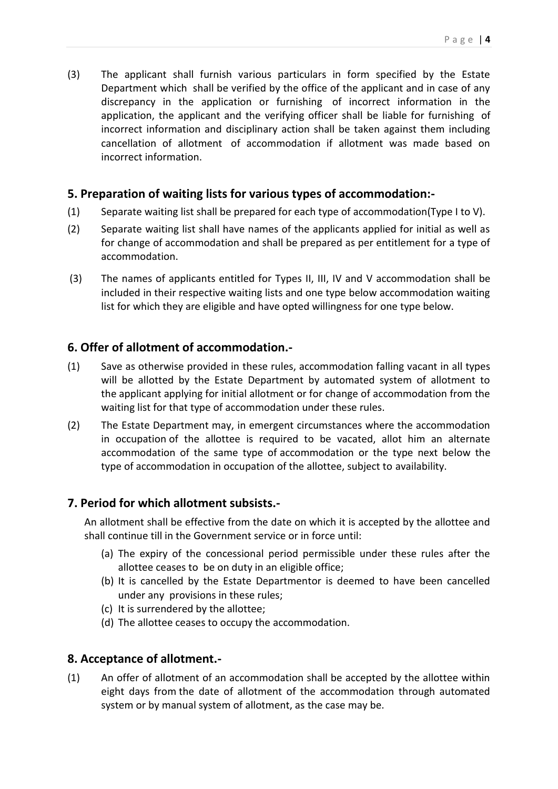(3) The applicant shall furnish various particulars in form specified by the Estate Department which shall be verified by the office of the applicant and in case of any discrepancy in the application or furnishing of incorrect information in the application, the applicant and the verifying officer shall be liable for furnishing of incorrect information and disciplinary action shall be taken against them including cancellation of allotment of accommodation if allotment was made based on incorrect information.

### **5. Preparation of waiting lists for various types of accommodation:-**

- (1) Separate waiting list shall be prepared for each type of accommodation(Type I to V).
- (2) Separate waiting list shall have names of the applicants applied for initial as well as for change of accommodation and shall be prepared as per entitlement for a type of accommodation.
- (3) The names of applicants entitled for Types II, III, IV and V accommodation shall be included in their respective waiting lists and one type below accommodation waiting list for which they are eligible and have opted willingness for one type below.

## **6. Offer of allotment of accommodation.-**

- (1) Save as otherwise provided in these rules, accommodation falling vacant in all types will be allotted by the Estate Department by automated system of allotment to the applicant applying for initial allotment or for change of accommodation from the waiting list for that type of accommodation under these rules.
- (2) The Estate Department may, in emergent circumstances where the accommodation in occupation of the allottee is required to be vacated, allot him an alternate accommodation of the same type of accommodation or the type next below the type of accommodation in occupation of the allottee, subject to availability.

### **7. Period for which allotment subsists.-**

An allotment shall be effective from the date on which it is accepted by the allottee and shall continue till in the Government service or in force until:

- (a) The expiry of the concessional period permissible under these rules after the allottee ceases to be on duty in an eligible office;
- (b) It is cancelled by the Estate Departmentor is deemed to have been cancelled under any provisions in these rules;
- (c) It is surrendered by the allottee;
- (d) The allottee ceases to occupy the accommodation.

#### **8. Acceptance of allotment.-**

(1) An offer of allotment of an accommodation shall be accepted by the allottee within eight days from the date of allotment of the accommodation through automated system or by manual system of allotment, as the case may be.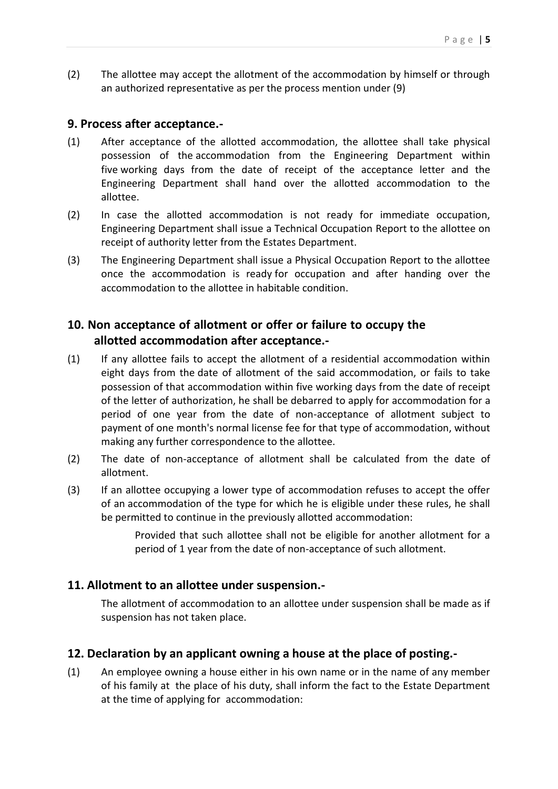(2) The allottee may accept the allotment of the accommodation by himself or through an authorized representative as per the process mention under (9)

#### **9. Process after acceptance.-**

- (1) After acceptance of the allotted accommodation, the allottee shall take physical possession of the accommodation from the Engineering Department within five working days from the date of receipt of the acceptance letter and the Engineering Department shall hand over the allotted accommodation to the allottee.
- (2) In case the allotted accommodation is not ready for immediate occupation, Engineering Department shall issue a Technical Occupation Report to the allottee on receipt of authority letter from the Estates Department.
- (3) The Engineering Department shall issue a Physical Occupation Report to the allottee once the accommodation is ready for occupation and after handing over the accommodation to the allottee in habitable condition.

## **10. Non acceptance of allotment or offer or failure to occupy the allotted accommodation after acceptance.-**

- (1) If any allottee fails to accept the allotment of a residential accommodation within eight days from the date of allotment of the said accommodation, or fails to take possession of that accommodation within five working days from the date of receipt of the letter of authorization, he shall be debarred to apply for accommodation for a period of one year from the date of non-acceptance of allotment subject to payment of one month's normal license fee for that type of accommodation, without making any further correspondence to the allottee.
- (2) The date of non-acceptance of allotment shall be calculated from the date of allotment.
- (3) If an allottee occupying a lower type of accommodation refuses to accept the offer of an accommodation of the type for which he is eligible under these rules, he shall be permitted to continue in the previously allotted accommodation:

Provided that such allottee shall not be eligible for another allotment for a period of 1 year from the date of non-acceptance of such allotment.

#### **11. Allotment to an allottee under suspension.-**

The allotment of accommodation to an allottee under suspension shall be made as if suspension has not taken place.

#### **12. Declaration by an applicant owning a house at the place of posting.-**

(1) An employee owning a house either in his own name or in the name of any member of his family at the place of his duty, shall inform the fact to the Estate Department at the time of applying for accommodation: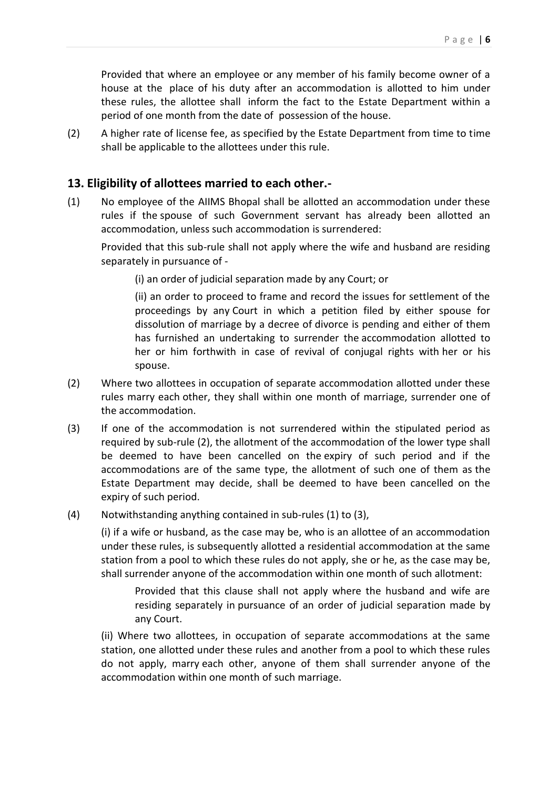Provided that where an employee or any member of his family become owner of a house at the place of his duty after an accommodation is allotted to him under these rules, the allottee shall inform the fact to the Estate Department within a period of one month from the date of possession of the house.

(2) A higher rate of license fee, as specified by the Estate Department from time to time shall be applicable to the allottees under this rule.

#### **13. Eligibility of allottees married to each other.-**

(1) No employee of the AIIMS Bhopal shall be allotted an accommodation under these rules if the spouse of such Government servant has already been allotted an accommodation, unless such accommodation is surrendered:

Provided that this sub-rule shall not apply where the wife and husband are residing separately in pursuance of -

(i) an order of judicial separation made by any Court; or

(ii) an order to proceed to frame and record the issues for settlement of the proceedings by any Court in which a petition filed by either spouse for dissolution of marriage by a decree of divorce is pending and either of them has furnished an undertaking to surrender the accommodation allotted to her or him forthwith in case of revival of conjugal rights with her or his spouse.

- (2) Where two allottees in occupation of separate accommodation allotted under these rules marry each other, they shall within one month of marriage, surrender one of the accommodation.
- (3) If one of the accommodation is not surrendered within the stipulated period as required by sub-rule (2), the allotment of the accommodation of the lower type shall be deemed to have been cancelled on the expiry of such period and if the accommodations are of the same type, the allotment of such one of them as the Estate Department may decide, shall be deemed to have been cancelled on the expiry of such period.
- (4) Notwithstanding anything contained in sub-rules (1) to (3),

(i) if a wife or husband, as the case may be, who is an allottee of an accommodation under these rules, is subsequently allotted a residential accommodation at the same station from a pool to which these rules do not apply, she or he, as the case may be, shall surrender anyone of the accommodation within one month of such allotment:

Provided that this clause shall not apply where the husband and wife are residing separately in pursuance of an order of judicial separation made by any Court.

(ii) Where two allottees, in occupation of separate accommodations at the same station, one allotted under these rules and another from a pool to which these rules do not apply, marry each other, anyone of them shall surrender anyone of the accommodation within one month of such marriage.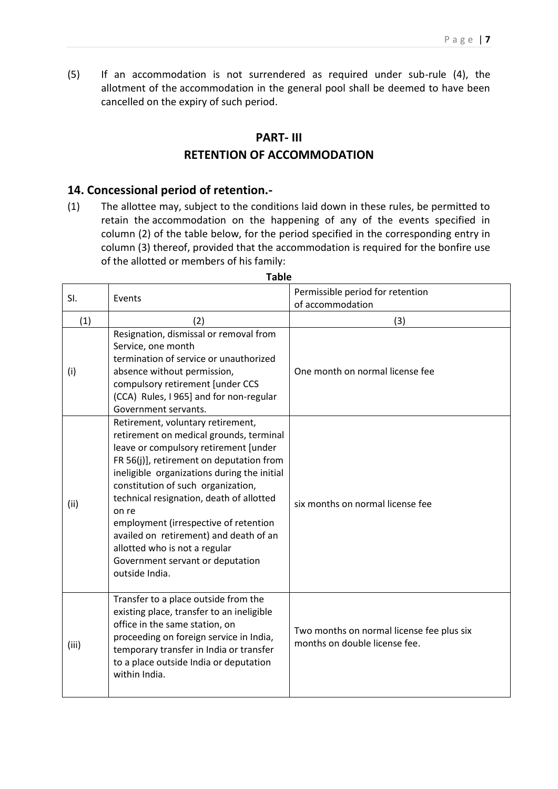(5) If an accommodation is not surrendered as required under sub-rule (4), the allotment of the accommodation in the general pool shall be deemed to have been cancelled on the expiry of such period.

#### **PART- III**

### **RETENTION OF ACCOMMODATION**

#### **14. Concessional period of retention.-**

 $\overline{\phantom{a}}$ 

(1) The allottee may, subject to the conditions laid down in these rules, be permitted to retain the accommodation on the happening of any of the events specified in column (2) of the table below, for the period specified in the corresponding entry in column (3) thereof, provided that the accommodation is required for the bonfire use of the allotted or members of his family:

| SI.   | Events                                                                                                                                                                                                                                                                                                                                                                                                                                                                                | Permissible period for retention<br>of accommodation                       |
|-------|---------------------------------------------------------------------------------------------------------------------------------------------------------------------------------------------------------------------------------------------------------------------------------------------------------------------------------------------------------------------------------------------------------------------------------------------------------------------------------------|----------------------------------------------------------------------------|
| (1)   | (2)                                                                                                                                                                                                                                                                                                                                                                                                                                                                                   | (3)                                                                        |
| (i)   | Resignation, dismissal or removal from<br>Service, one month<br>termination of service or unauthorized<br>absence without permission,<br>compulsory retirement [under CCS<br>(CCA) Rules, I 965] and for non-regular<br>Government servants.                                                                                                                                                                                                                                          | One month on normal license fee                                            |
| (ii)  | Retirement, voluntary retirement,<br>retirement on medical grounds, terminal<br>leave or compulsory retirement [under<br>FR 56(j)], retirement on deputation from<br>ineligible organizations during the initial<br>constitution of such organization,<br>technical resignation, death of allotted<br>on re<br>employment (irrespective of retention<br>availed on retirement) and death of an<br>allotted who is not a regular<br>Government servant or deputation<br>outside India. | six months on normal license fee                                           |
| (iii) | Transfer to a place outside from the<br>existing place, transfer to an ineligible<br>office in the same station, on<br>proceeding on foreign service in India,<br>temporary transfer in India or transfer<br>to a place outside India or deputation<br>within India.                                                                                                                                                                                                                  | Two months on normal license fee plus six<br>months on double license fee. |

**Table**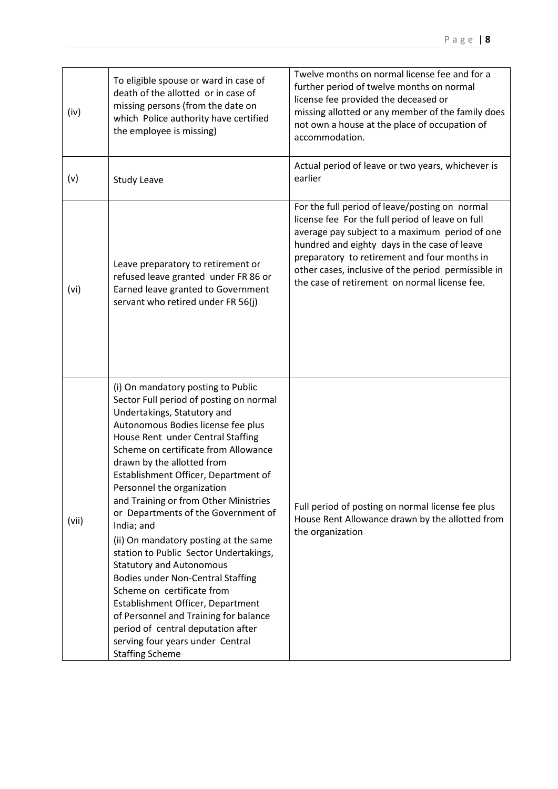| (iv)  | To eligible spouse or ward in case of<br>death of the allotted or in case of<br>missing persons (from the date on<br>which Police authority have certified<br>the employee is missing)                                                                                                                                                                                                                                                                                                                                                                                                                                                                                                                                                                                                                              | Twelve months on normal license fee and for a<br>further period of twelve months on normal<br>license fee provided the deceased or<br>missing allotted or any member of the family does<br>not own a house at the place of occupation of<br>accommodation.                                                                                                   |
|-------|---------------------------------------------------------------------------------------------------------------------------------------------------------------------------------------------------------------------------------------------------------------------------------------------------------------------------------------------------------------------------------------------------------------------------------------------------------------------------------------------------------------------------------------------------------------------------------------------------------------------------------------------------------------------------------------------------------------------------------------------------------------------------------------------------------------------|--------------------------------------------------------------------------------------------------------------------------------------------------------------------------------------------------------------------------------------------------------------------------------------------------------------------------------------------------------------|
| (v)   | <b>Study Leave</b>                                                                                                                                                                                                                                                                                                                                                                                                                                                                                                                                                                                                                                                                                                                                                                                                  | Actual period of leave or two years, whichever is<br>earlier                                                                                                                                                                                                                                                                                                 |
| (vi)  | Leave preparatory to retirement or<br>refused leave granted under FR 86 or<br>Earned leave granted to Government<br>servant who retired under FR 56(j)                                                                                                                                                                                                                                                                                                                                                                                                                                                                                                                                                                                                                                                              | For the full period of leave/posting on normal<br>license fee For the full period of leave on full<br>average pay subject to a maximum period of one<br>hundred and eighty days in the case of leave<br>preparatory to retirement and four months in<br>other cases, inclusive of the period permissible in<br>the case of retirement on normal license fee. |
| (vii) | (i) On mandatory posting to Public<br>Sector Full period of posting on normal<br>Undertakings, Statutory and<br>Autonomous Bodies license fee plus<br>House Rent under Central Staffing<br>Scheme on certificate from Allowance<br>drawn by the allotted from<br>Establishment Officer, Department of<br>Personnel the organization<br>and Training or from Other Ministries<br>or Departments of the Government of<br>India; and<br>(ii) On mandatory posting at the same<br>station to Public Sector Undertakings,<br><b>Statutory and Autonomous</b><br><b>Bodies under Non-Central Staffing</b><br>Scheme on certificate from<br>Establishment Officer, Department<br>of Personnel and Training for balance<br>period of central deputation after<br>serving four years under Central<br><b>Staffing Scheme</b> | Full period of posting on normal license fee plus<br>House Rent Allowance drawn by the allotted from<br>the organization                                                                                                                                                                                                                                     |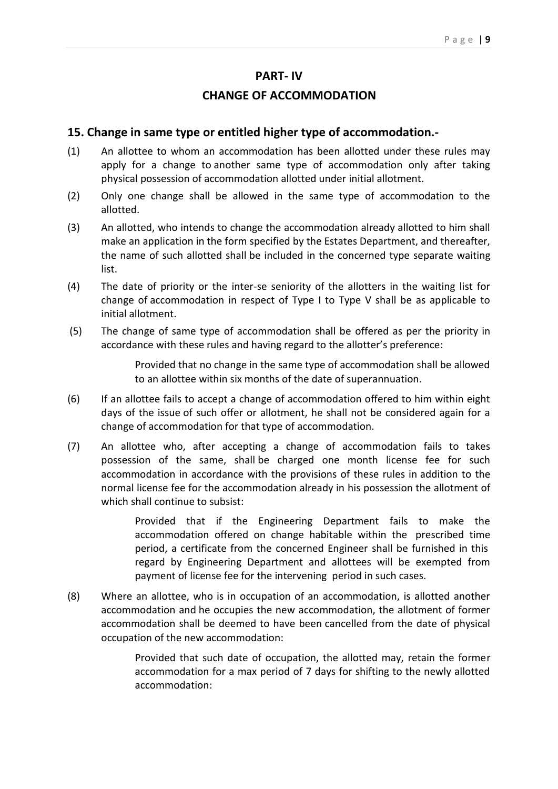#### **PART- IV**

#### **CHANGE OF ACCOMMODATION**

#### **15. Change in same type or entitled higher type of accommodation.-**

- (1) An allottee to whom an accommodation has been allotted under these rules may apply for a change to another same type of accommodation only after taking physical possession of accommodation allotted under initial allotment.
- (2) Only one change shall be allowed in the same type of accommodation to the allotted.
- (3) An allotted, who intends to change the accommodation already allotted to him shall make an application in the form specified by the Estates Department, and thereafter, the name of such allotted shall be included in the concerned type separate waiting list.
- (4) The date of priority or the inter-se seniority of the allotters in the waiting list for change of accommodation in respect of Type I to Type V shall be as applicable to initial allotment.
- (5) The change of same type of accommodation shall be offered as per the priority in accordance with these rules and having regard to the allotter's preference:

Provided that no change in the same type of accommodation shall be allowed to an allottee within six months of the date of superannuation.

- (6) If an allottee fails to accept a change of accommodation offered to him within eight days of the issue of such offer or allotment, he shall not be considered again for a change of accommodation for that type of accommodation.
- (7) An allottee who, after accepting a change of accommodation fails to takes possession of the same, shall be charged one month license fee for such accommodation in accordance with the provisions of these rules in addition to the normal license fee for the accommodation already in his possession the allotment of which shall continue to subsist:

Provided that if the Engineering Department fails to make the accommodation offered on change habitable within the prescribed time period, a certificate from the concerned Engineer shall be furnished in this regard by Engineering Department and allottees will be exempted from payment of license fee for the intervening period in such cases.

(8) Where an allottee, who is in occupation of an accommodation, is allotted another accommodation and he occupies the new accommodation, the allotment of former accommodation shall be deemed to have been cancelled from the date of physical occupation of the new accommodation:

> Provided that such date of occupation, the allotted may, retain the former accommodation for a max period of 7 days for shifting to the newly allotted accommodation: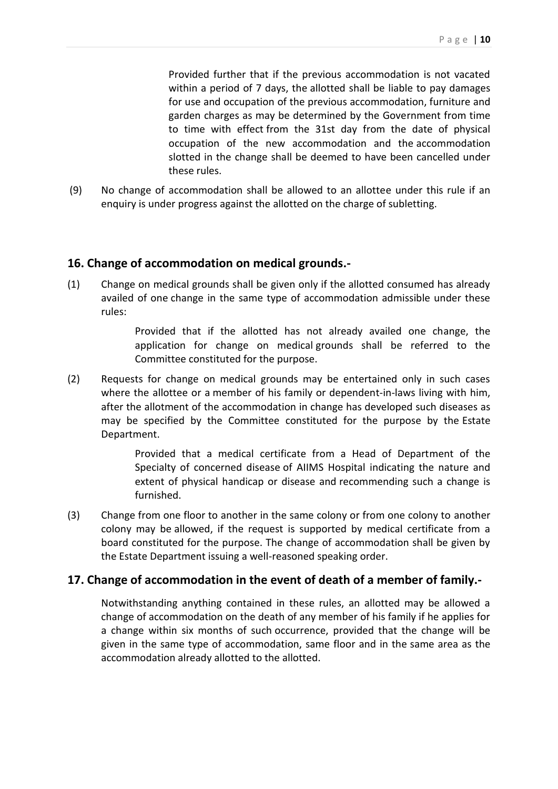Provided further that if the previous accommodation is not vacated within a period of 7 days, the allotted shall be liable to pay damages for use and occupation of the previous accommodation, furniture and garden charges as may be determined by the Government from time to time with effect from the 31st day from the date of physical occupation of the new accommodation and the accommodation slotted in the change shall be deemed to have been cancelled under these rules.

(9) No change of accommodation shall be allowed to an allottee under this rule if an enquiry is under progress against the allotted on the charge of subletting.

#### **16. Change of accommodation on medical grounds.-**

(1) Change on medical grounds shall be given only if the allotted consumed has already availed of one change in the same type of accommodation admissible under these rules:

> Provided that if the allotted has not already availed one change, the application for change on medical grounds shall be referred to the Committee constituted for the purpose.

(2) Requests for change on medical grounds may be entertained only in such cases where the allottee or a member of his family or dependent-in-laws living with him, after the allotment of the accommodation in change has developed such diseases as may be specified by the Committee constituted for the purpose by the Estate Department.

> Provided that a medical certificate from a Head of Department of the Specialty of concerned disease of AIIMS Hospital indicating the nature and extent of physical handicap or disease and recommending such a change is furnished.

(3) Change from one floor to another in the same colony or from one colony to another colony may be allowed, if the request is supported by medical certificate from a board constituted for the purpose. The change of accommodation shall be given by the Estate Department issuing a well-reasoned speaking order.

#### **17. Change of accommodation in the event of death of a member of family.-**

Notwithstanding anything contained in these rules, an allotted may be allowed a change of accommodation on the death of any member of his family if he applies for a change within six months of such occurrence, provided that the change will be given in the same type of accommodation, same floor and in the same area as the accommodation already allotted to the allotted.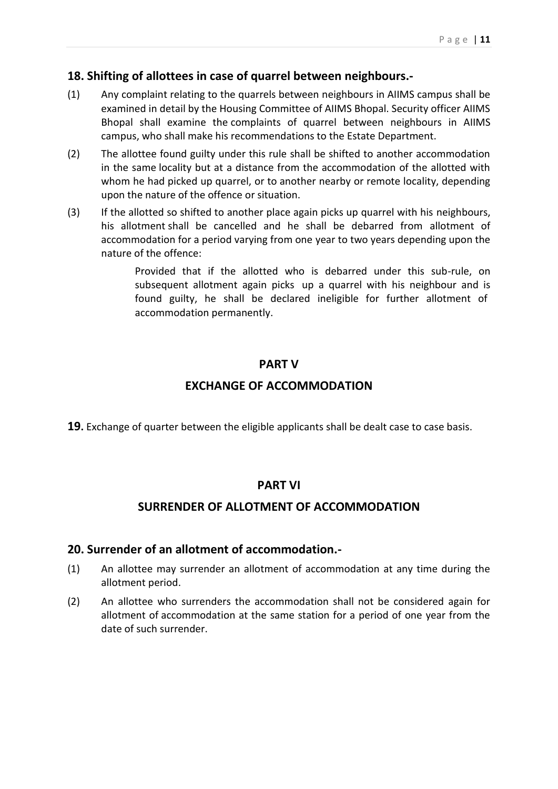### **18. Shifting of allottees in case of quarrel between neighbours.-**

- (1) Any complaint relating to the quarrels between neighbours in AIIMS campus shall be examined in detail by the Housing Committee of AIIMS Bhopal. Security officer AIIMS Bhopal shall examine the complaints of quarrel between neighbours in AIIMS campus, who shall make his recommendations to the Estate Department.
- (2) The allottee found guilty under this rule shall be shifted to another accommodation in the same locality but at a distance from the accommodation of the allotted with whom he had picked up quarrel, or to another nearby or remote locality, depending upon the nature of the offence or situation.
- (3) If the allotted so shifted to another place again picks up quarrel with his neighbours, his allotment shall be cancelled and he shall be debarred from allotment of accommodation for a period varying from one year to two years depending upon the nature of the offence:

Provided that if the allotted who is debarred under this sub-rule, on subsequent allotment again picks up a quarrel with his neighbour and is found guilty, he shall be declared ineligible for further allotment of accommodation permanently.

### **PART V**

### **EXCHANGE OF ACCOMMODATION**

**19.** Exchange of quarter between the eligible applicants shall be dealt case to case basis.

#### **PART VI**

#### **SURRENDER OF ALLOTMENT OF ACCOMMODATION**

#### **20. Surrender of an allotment of accommodation.-**

- (1) An allottee may surrender an allotment of accommodation at any time during the allotment period.
- (2) An allottee who surrenders the accommodation shall not be considered again for allotment of accommodation at the same station for a period of one year from the date of such surrender.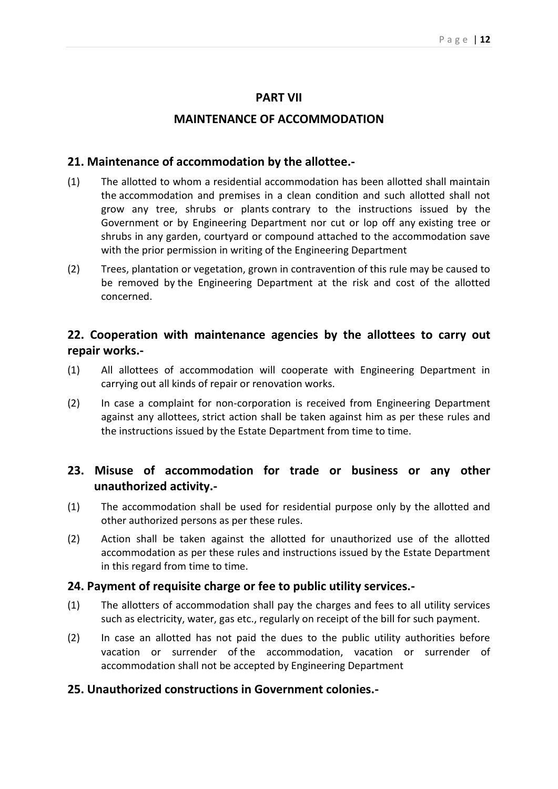#### **PART VII**

#### **MAINTENANCE OF ACCOMMODATION**

#### **21. Maintenance of accommodation by the allottee.-**

- (1) The allotted to whom a residential accommodation has been allotted shall maintain the accommodation and premises in a clean condition and such allotted shall not grow any tree, shrubs or plants contrary to the instructions issued by the Government or by Engineering Department nor cut or lop off any existing tree or shrubs in any garden, courtyard or compound attached to the accommodation save with the prior permission in writing of the Engineering Department
- (2) Trees, plantation or vegetation, grown in contravention of this rule may be caused to be removed by the Engineering Department at the risk and cost of the allotted concerned.

## **22. Cooperation with maintenance agencies by the allottees to carry out repair works.-**

- (1) All allottees of accommodation will cooperate with Engineering Department in carrying out all kinds of repair or renovation works.
- (2) In case a complaint for non-corporation is received from Engineering Department against any allottees, strict action shall be taken against him as per these rules and the instructions issued by the Estate Department from time to time.

## **23. Misuse of accommodation for trade or business or any other unauthorized activity.-**

- (1) The accommodation shall be used for residential purpose only by the allotted and other authorized persons as per these rules.
- (2) Action shall be taken against the allotted for unauthorized use of the allotted accommodation as per these rules and instructions issued by the Estate Department in this regard from time to time.

#### **24. Payment of requisite charge or fee to public utility services.-**

- (1) The allotters of accommodation shall pay the charges and fees to all utility services such as electricity, water, gas etc., regularly on receipt of the bill for such payment.
- (2) In case an allotted has not paid the dues to the public utility authorities before vacation or surrender of the accommodation, vacation or surrender of accommodation shall not be accepted by Engineering Department

#### **25. Unauthorized constructions in Government colonies.-**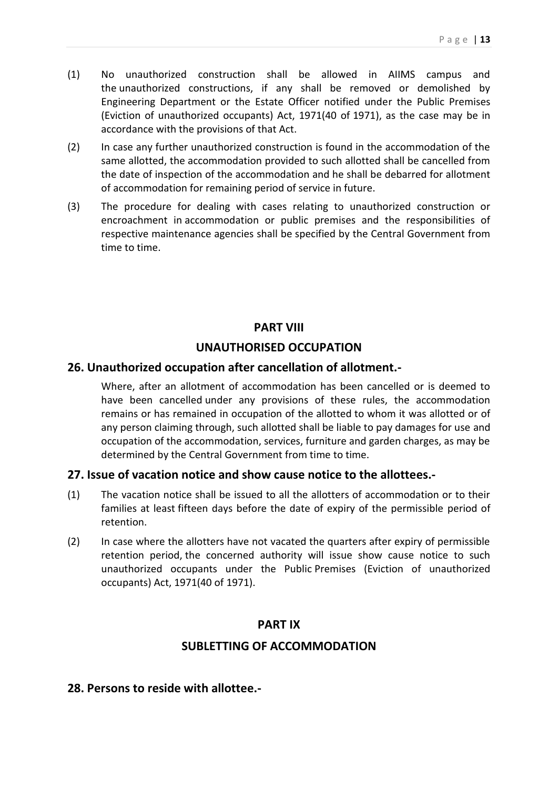- (1) No unauthorized construction shall be allowed in AIIMS campus and the unauthorized constructions, if any shall be removed or demolished by Engineering Department or the Estate Officer notified under the Public Premises (Eviction of unauthorized occupants) Act, 1971(40 of 1971), as the case may be in accordance with the provisions of that Act.
- (2) In case any further unauthorized construction is found in the accommodation of the same allotted, the accommodation provided to such allotted shall be cancelled from the date of inspection of the accommodation and he shall be debarred for allotment of accommodation for remaining period of service in future.
- (3) The procedure for dealing with cases relating to unauthorized construction or encroachment in accommodation or public premises and the responsibilities of respective maintenance agencies shall be specified by the Central Government from time to time.

#### **PART VIII**

## **UNAUTHORISED OCCUPATION**

### **26. Unauthorized occupation after cancellation of allotment.-**

Where, after an allotment of accommodation has been cancelled or is deemed to have been cancelled under any provisions of these rules, the accommodation remains or has remained in occupation of the allotted to whom it was allotted or of any person claiming through, such allotted shall be liable to pay damages for use and occupation of the accommodation, services, furniture and garden charges, as may be determined by the Central Government from time to time.

#### **27. Issue of vacation notice and show cause notice to the allottees.-**

- (1) The vacation notice shall be issued to all the allotters of accommodation or to their families at least fifteen days before the date of expiry of the permissible period of retention.
- (2) In case where the allotters have not vacated the quarters after expiry of permissible retention period, the concerned authority will issue show cause notice to such unauthorized occupants under the Public Premises (Eviction of unauthorized occupants) Act, 1971(40 of 1971).

#### **PART IX**

### **SUBLETTING OF ACCOMMODATION**

#### **28. Persons to reside with allottee.-**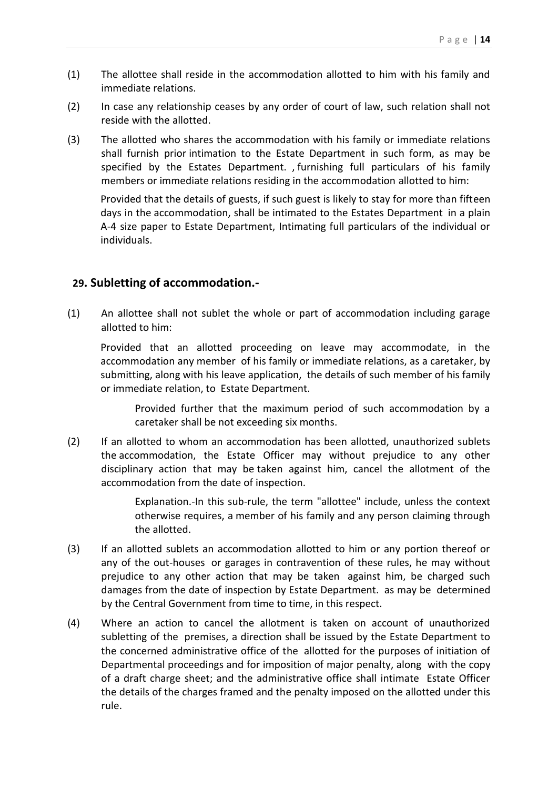- (1) The allottee shall reside in the accommodation allotted to him with his family and immediate relations.
- (2) In case any relationship ceases by any order of court of law, such relation shall not reside with the allotted.
- (3) The allotted who shares the accommodation with his family or immediate relations shall furnish prior intimation to the Estate Department in such form, as may be specified by the Estates Department. , furnishing full particulars of his family members or immediate relations residing in the accommodation allotted to him:

Provided that the details of guests, if such guest is likely to stay for more than fifteen days in the accommodation, shall be intimated to the Estates Department in a plain A-4 size paper to Estate Department, Intimating full particulars of the individual or individuals.

#### **29. Subletting of accommodation.-**

(1) An allottee shall not sublet the whole or part of accommodation including garage allotted to him:

Provided that an allotted proceeding on leave may accommodate, in the accommodation any member of his family or immediate relations, as a caretaker, by submitting, along with his leave application, the details of such member of his family or immediate relation, to Estate Department.

Provided further that the maximum period of such accommodation by a caretaker shall be not exceeding six months.

(2) If an allotted to whom an accommodation has been allotted, unauthorized sublets the accommodation, the Estate Officer may without prejudice to any other disciplinary action that may be taken against him, cancel the allotment of the accommodation from the date of inspection.

> Explanation.-In this sub-rule, the term "allottee" include, unless the context otherwise requires, a member of his family and any person claiming through the allotted.

- (3) If an allotted sublets an accommodation allotted to him or any portion thereof or any of the out-houses or garages in contravention of these rules, he may without prejudice to any other action that may be taken against him, be charged such damages from the date of inspection by Estate Department. as may be determined by the Central Government from time to time, in this respect.
- (4) Where an action to cancel the allotment is taken on account of unauthorized subletting of the premises, a direction shall be issued by the Estate Department to the concerned administrative office of the allotted for the purposes of initiation of Departmental proceedings and for imposition of major penalty, along with the copy of a draft charge sheet; and the administrative office shall intimate Estate Officer the details of the charges framed and the penalty imposed on the allotted under this rule.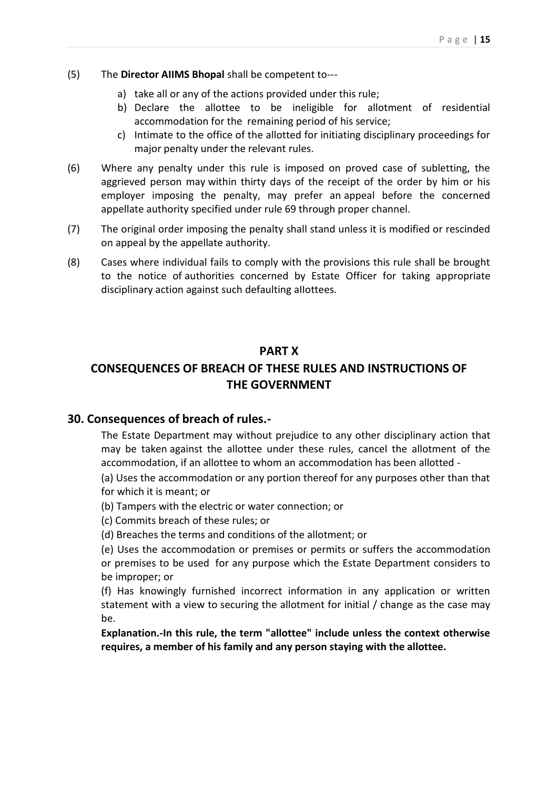- (5) The **Director AIIMS Bhopal** shall be competent to--
	- a) take all or any of the actions provided under this rule;
	- b) Declare the allottee to be ineligible for allotment of residential accommodation for the remaining period of his service;
	- c) Intimate to the office of the allotted for initiating disciplinary proceedings for major penalty under the relevant rules.
- (6) Where any penalty under this rule is imposed on proved case of subletting, the aggrieved person may within thirty days of the receipt of the order by him or his employer imposing the penalty, may prefer an appeal before the concerned appellate authority specified under rule 69 through proper channel.
- (7) The original order imposing the penalty shall stand unless it is modified or rescinded on appeal by the appellate authority.
- (8) Cases where individual fails to comply with the provisions this rule shall be brought to the notice of authorities concerned by Estate Officer for taking appropriate disciplinary action against such defaulting aIIottees.

#### **PART X**

## **CONSEQUENCES OF BREACH OF THESE RULES AND INSTRUCTIONS OF THE GOVERNMENT**

#### **30. Consequences of breach of rules.-**

The Estate Department may without prejudice to any other disciplinary action that may be taken against the allottee under these rules, cancel the allotment of the accommodation, if an allottee to whom an accommodation has been allotted -

(a) Uses the accommodation or any portion thereof for any purposes other than that for which it is meant; or

(b) Tampers with the electric or water connection; or

(c) Commits breach of these rules; or

(d) Breaches the terms and conditions of the allotment; or

(e) Uses the accommodation or premises or permits or suffers the accommodation or premises to be used for any purpose which the Estate Department considers to be improper; or

(f) Has knowingly furnished incorrect information in any application or written statement with a view to securing the allotment for initial / change as the case may be.

**Explanation.-In this rule, the term "allottee" include unless the context otherwise requires, a member of his family and any person staying with the allottee.**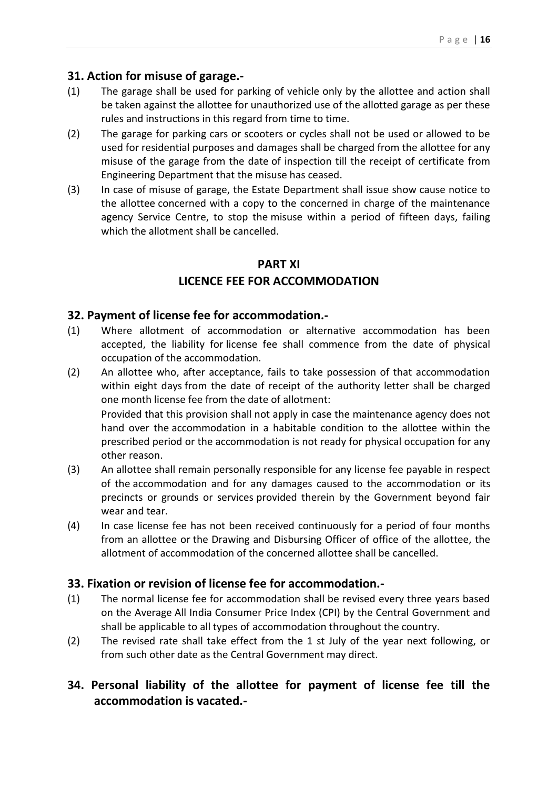### **31. Action for misuse of garage.-**

- (1) The garage shall be used for parking of vehicle only by the allottee and action shall be taken against the allottee for unauthorized use of the allotted garage as per these rules and instructions in this regard from time to time.
- (2) The garage for parking cars or scooters or cycles shall not be used or allowed to be used for residential purposes and damages shall be charged from the allottee for any misuse of the garage from the date of inspection till the receipt of certificate from Engineering Department that the misuse has ceased.
- (3) In case of misuse of garage, the Estate Department shall issue show cause notice to the allottee concerned with a copy to the concerned in charge of the maintenance agency Service Centre, to stop the misuse within a period of fifteen days, failing which the allotment shall be cancelled.

## **PART XI**

## **LICENCE FEE FOR ACCOMMODATION**

### **32. Payment of license fee for accommodation.-**

- (1) Where allotment of accommodation or alternative accommodation has been accepted, the liability for license fee shall commence from the date of physical occupation of the accommodation.
- (2) An allottee who, after acceptance, fails to take possession of that accommodation within eight days from the date of receipt of the authority letter shall be charged one month license fee from the date of allotment: Provided that this provision shall not apply in case the maintenance agency does not hand over the accommodation in a habitable condition to the allottee within the

prescribed period or the accommodation is not ready for physical occupation for any other reason.

- (3) An allottee shall remain personally responsible for any license fee payable in respect of the accommodation and for any damages caused to the accommodation or its precincts or grounds or services provided therein by the Government beyond fair wear and tear.
- (4) In case license fee has not been received continuously for a period of four months from an allottee or the Drawing and Disbursing Officer of office of the allottee, the allotment of accommodation of the concerned allottee shall be cancelled.

### **33. Fixation or revision of license fee for accommodation.-**

- (1) The normal license fee for accommodation shall be revised every three years based on the Average All India Consumer Price Index (CPI) by the Central Government and shall be applicable to all types of accommodation throughout the country.
- (2) The revised rate shall take effect from the 1 st July of the year next following, or from such other date as the Central Government may direct.

## **34. Personal liability of the allottee for payment of license fee till the accommodation is vacated.-**